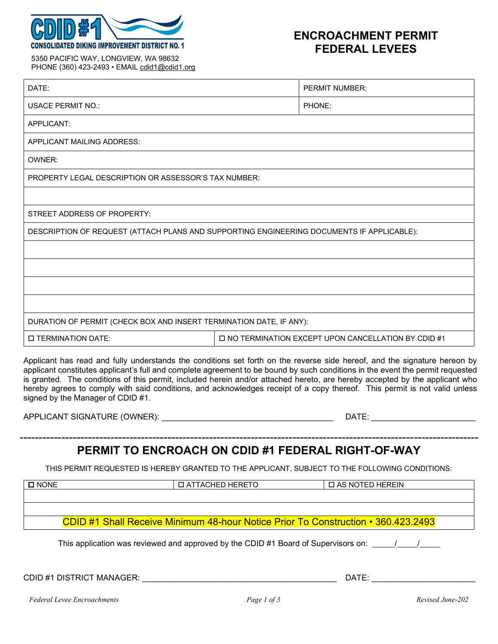

## **ENCROACHMENT PERMIT FEDERAL LEVEES**

| 5350 PACIFIC WAY, LONGVIEW, WA 98632         |  |
|----------------------------------------------|--|
| PHONE (360) 423-2493 • EMAIL cdid1@cdid1.org |  |

| DATE:                                                                                                                                                                                                                                                                                                                                                                                                                                                                                                                                                        |  | PERMIT NUMBER:                                       |  |  |
|--------------------------------------------------------------------------------------------------------------------------------------------------------------------------------------------------------------------------------------------------------------------------------------------------------------------------------------------------------------------------------------------------------------------------------------------------------------------------------------------------------------------------------------------------------------|--|------------------------------------------------------|--|--|
| <b>USACE PERMIT NO.:</b>                                                                                                                                                                                                                                                                                                                                                                                                                                                                                                                                     |  | PHONE:                                               |  |  |
| APPLICANT:                                                                                                                                                                                                                                                                                                                                                                                                                                                                                                                                                   |  |                                                      |  |  |
| APPLICANT MAILING ADDRESS:                                                                                                                                                                                                                                                                                                                                                                                                                                                                                                                                   |  |                                                      |  |  |
| OWNER:                                                                                                                                                                                                                                                                                                                                                                                                                                                                                                                                                       |  |                                                      |  |  |
| <b>PROPERTY LEGAL DESCRIPTION OR ASSESSOR'S TAX NUMBER:</b>                                                                                                                                                                                                                                                                                                                                                                                                                                                                                                  |  |                                                      |  |  |
|                                                                                                                                                                                                                                                                                                                                                                                                                                                                                                                                                              |  |                                                      |  |  |
| STREET ADDRESS OF PROPERTY:                                                                                                                                                                                                                                                                                                                                                                                                                                                                                                                                  |  |                                                      |  |  |
| DESCRIPTION OF REQUEST (ATTACH PLANS AND SUPPORTING ENGINEERING DOCUMENTS IF APPLICABLE):                                                                                                                                                                                                                                                                                                                                                                                                                                                                    |  |                                                      |  |  |
|                                                                                                                                                                                                                                                                                                                                                                                                                                                                                                                                                              |  |                                                      |  |  |
|                                                                                                                                                                                                                                                                                                                                                                                                                                                                                                                                                              |  |                                                      |  |  |
|                                                                                                                                                                                                                                                                                                                                                                                                                                                                                                                                                              |  |                                                      |  |  |
|                                                                                                                                                                                                                                                                                                                                                                                                                                                                                                                                                              |  |                                                      |  |  |
| DURATION OF PERMIT (CHECK BOX AND INSERT TERMINATION DATE, IF ANY):                                                                                                                                                                                                                                                                                                                                                                                                                                                                                          |  |                                                      |  |  |
| <b>D TERMINATION DATE:</b>                                                                                                                                                                                                                                                                                                                                                                                                                                                                                                                                   |  | □ NO TERMINATION EXCEPT UPON CANCELLATION BY CDID #1 |  |  |
| Applicant has read and fully understands the conditions set forth on the reverse side hereof, and the signature hereon by<br>applicant constitutes applicant's full and complete agreement to be bound by such conditions in the event the permit requested<br>is granted. The conditions of this permit, included herein and/or attached hereto, are hereby accepted by the applicant who<br>hereby agrees to comply with said conditions, and acknowledges receipt of a copy thereof. This permit is not valid unless<br>signed by the Manager of CDID #1. |  |                                                      |  |  |
|                                                                                                                                                                                                                                                                                                                                                                                                                                                                                                                                                              |  |                                                      |  |  |

# **PERMIT TO ENCROACH ON CDID #1 FEDERAL RIGHT-OF-WAY**

THIS PERMIT REQUESTED IS HEREBY GRANTED TO THE APPLICANT, SUBJECT TO THE FOLLOWING CONDITIONS:

| <b>O</b> NONE                                                                            | <b>D ATTACHED HERETO</b>                                                           | <b>D AS NOTED HEREIN</b> |  |  |
|------------------------------------------------------------------------------------------|------------------------------------------------------------------------------------|--------------------------|--|--|
|                                                                                          |                                                                                    |                          |  |  |
|                                                                                          |                                                                                    |                          |  |  |
| <b>CDID #1 Shall Receive Minimum 48-hour Notice Prior To Construction • 360.423.2493</b> |                                                                                    |                          |  |  |
|                                                                                          | This application was reviewed and approved by the CDID #1 Board of Supervisors on: |                          |  |  |

CDID #1 DISTRICT MANAGER: \_\_\_\_\_\_\_\_\_\_\_\_\_\_\_\_\_\_\_\_\_\_\_\_\_\_\_\_\_\_\_\_\_\_\_\_\_\_\_\_\_\_\_ DATE: \_\_\_\_\_\_\_\_\_\_\_\_\_\_\_\_\_\_\_\_\_\_\_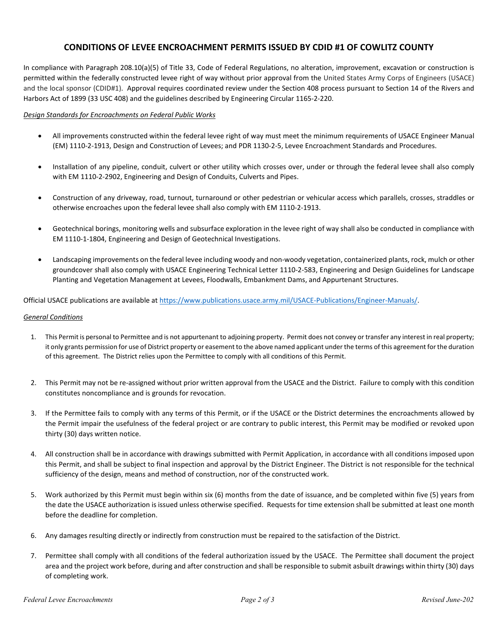## **CONDITIONS OF LEVEE ENCROACHMENT PERMITS ISSUED BY CDID #1 OF COWLITZ COUNTY**

In compliance with Paragraph 208.10(a)(5) of Title 33, Code of Federal Regulations, no alteration, improvement, excavation or construction is permitted within the federally constructed levee right of way without prior approval from the United States Army Corps of Engineers (USACE) and the local sponsor (CDID#1). Approval requires coordinated review under the Section 408 process pursuant to Section 14 of the Rivers and Harbors Act of 1899 (33 USC 408) and the guidelines described by Engineering Circular 1165-2-220.

#### *Design Standards for Encroachments on Federal Public Works*

- All improvements constructed within the federal levee right of way must meet the minimum requirements of USACE Engineer Manual (EM) 1110-2-1913, Design and Construction of Levees; and PDR 1130-2-5, Levee Encroachment Standards and Procedures.
- Installation of any pipeline, conduit, culvert or other utility which crosses over, under or through the federal levee shall also comply with EM 1110-2-2902, Engineering and Design of Conduits, Culverts and Pipes.
- Construction of any driveway, road, turnout, turnaround or other pedestrian or vehicular access which parallels, crosses, straddles or otherwise encroaches upon the federal levee shall also comply with EM 1110-2-1913.
- Geotechnical borings, monitoring wells and subsurface exploration in the levee right of way shall also be conducted in compliance with EM 1110-1-1804, Engineering and Design of Geotechnical Investigations.
- Landscaping improvements on the federal levee including woody and non-woody vegetation, containerized plants, rock, mulch or other groundcover shall also comply with USACE Engineering Technical Letter 1110-2-583, Engineering and Design Guidelines for Landscape Planting and Vegetation Management at Levees, Floodwalls, Embankment Dams, and Appurtenant Structures.

Official USACE publications are available a[t https://www.publications.usace.army.mil/USACE-Publications/Engineer-Manuals/.](https://www.publications.usace.army.mil/USACE-Publications/Engineer-Manuals/)

### *General Conditions*

- 1. This Permit is personal to Permittee and is not appurtenant to adjoining property. Permit does not convey or transfer any interest in real property; it only grants permission for use of District property or easement to the above named applicant under the terms of this agreement for the duration of this agreement. The District relies upon the Permittee to comply with all conditions of this Permit.
- 2. This Permit may not be re-assigned without prior written approval from the USACE and the District. Failure to comply with this condition constitutes noncompliance and is grounds for revocation.
- 3. If the Permittee fails to comply with any terms of this Permit, or if the USACE or the District determines the encroachments allowed by the Permit impair the usefulness of the federal project or are contrary to public interest, this Permit may be modified or revoked upon thirty (30) days written notice.
- 4. All construction shall be in accordance with drawings submitted with Permit Application, in accordance with all conditions imposed upon this Permit, and shall be subject to final inspection and approval by the District Engineer. The District is not responsible for the technical sufficiency of the design, means and method of construction, nor of the constructed work.
- 5. Work authorized by this Permit must begin within six (6) months from the date of issuance, and be completed within five (5) years from the date the USACE authorization is issued unless otherwise specified. Requests for time extension shall be submitted at least one month before the deadline for completion.
- 6. Any damages resulting directly or indirectly from construction must be repaired to the satisfaction of the District.
- 7. Permittee shall comply with all conditions of the federal authorization issued by the USACE. The Permittee shall document the project area and the project work before, during and after construction and shall be responsible to submit asbuilt drawings within thirty (30) days of completing work.